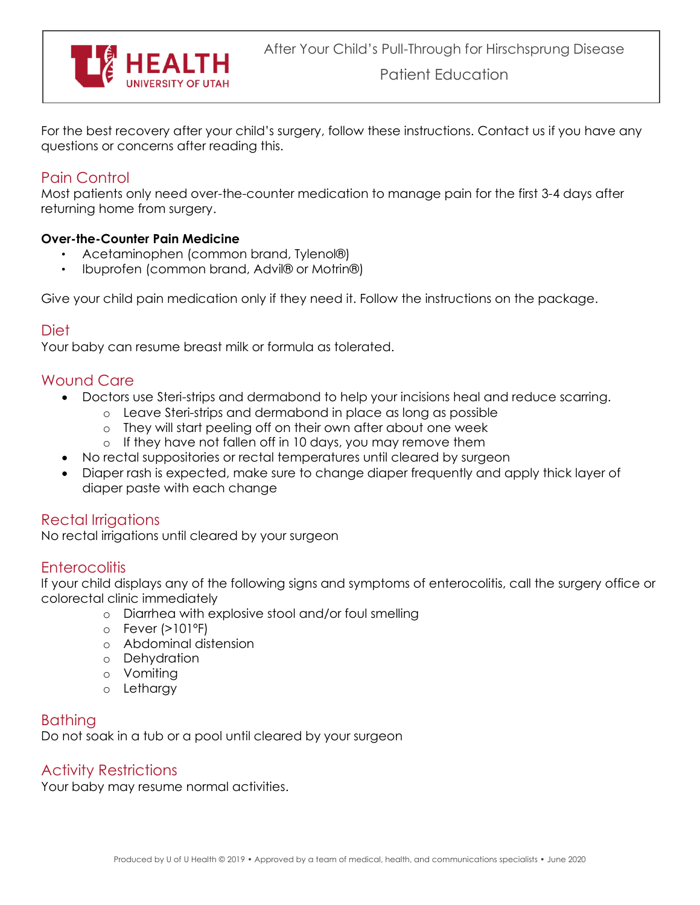

For the best recovery after your child's surgery, follow these instructions. Contact us if you have any questions or concerns after reading this.

# Pain Control

Most patients only need over-the-counter medication to manage pain for the first 3-4 days after returning home from surgery.

### **Over-the-Counter Pain Medicine**

- Acetaminophen (common brand, Tylenol®)
- Ibuprofen (common brand, Advil® or Motrin®)

Give your child pain medication only if they need it. Follow the instructions on the package.

## Diet

Your baby can resume breast milk or formula as tolerated.

## Wound Care

- Doctors use Steri-strips and dermabond to help your incisions heal and reduce scarring.
	- o Leave Steri-strips and dermabond in place as long as possible
	- o They will start peeling off on their own after about one week
	- o If they have not fallen off in 10 days, you may remove them
	- No rectal suppositories or rectal temperatures until cleared by surgeon
- Diaper rash is expected, make sure to change diaper frequently and apply thick layer of diaper paste with each change

# Rectal Irrigations

No rectal irrigations until cleared by your surgeon

## **Enterocolitis**

If your child displays any of the following signs and symptoms of enterocolitis, call the surgery office or colorectal clinic immediately

- o Diarrhea with explosive stool and/or foul smelling
- o Fever (>101ºF)
- o Abdominal distension
- o Dehydration
- o Vomiting
- o Lethargy

# Bathing

Do not soak in a tub or a pool until cleared by your surgeon

## Activity Restrictions

Your baby may resume normal activities.